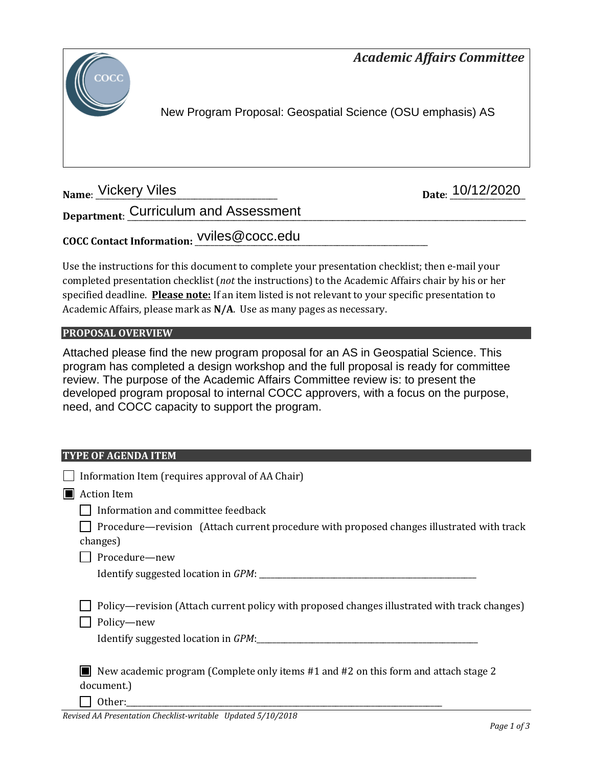



New Program Proposal: Geospatial Science (OSU emphasis) AS

**Name: Vickery Viles** 

Date: 10/12/2020

**Department**: \_\_\_\_\_\_\_\_\_\_\_\_\_\_\_\_\_\_\_\_\_\_\_\_\_\_\_\_\_\_\_\_\_\_\_\_\_\_\_\_\_\_\_\_\_\_\_\_\_\_\_\_\_\_\_\_\_\_\_\_\_\_\_\_\_\_\_\_\_\_\_\_\_\_\_\_\_\_\_\_\_\_\_\_\_\_\_\_\_\_\_\_\_\_\_\_\_\_\_\_\_ Curriculum and Assessment

**COCC Contact Information:** \_\_\_\_\_\_\_\_\_\_\_\_\_\_\_\_\_\_\_\_\_\_\_\_\_\_\_\_\_\_\_\_\_\_\_\_\_\_\_\_\_\_\_\_\_\_\_\_\_\_\_\_\_\_\_\_\_\_\_ vviles@cocc.edu

Use the instructions for this document to complete your presentation checklist; then e-mail your completed presentation checklist (*not* the instructions) to the Academic Affairs chair by his or her specified deadline. **Please note:** If an item listed is not relevant to your specific presentation to Academic Affairs, please mark as **N/A**. Use as many pages as necessary.

## **PROPOSAL OVERVIEW**

Attached please find the new program proposal for an AS in Geospatial Science. This program has completed a design workshop and the full proposal is ready for committee review. The purpose of the Academic Affairs Committee review is: to present the developed program proposal to internal COCC approvers, with a focus on the purpose, need, and COCC capacity to support the program.

## **TYPE OF AGENDA ITEM**

| Information Item (requires approval of AA Chair)                                                                                                  |
|---------------------------------------------------------------------------------------------------------------------------------------------------|
| <b>Action Item</b>                                                                                                                                |
| Information and committee feedback                                                                                                                |
| Procedure—revision (Attach current procedure with proposed changes illustrated with track<br>changes)                                             |
| Procedure-new                                                                                                                                     |
|                                                                                                                                                   |
| Policy—revision (Attach current policy with proposed changes illustrated with track changes)<br>Policy-new<br>Identify suggested location in GPM: |
| New academic program (Complete only items $#1$ and $#2$ on this form and attach stage 2<br>document.)                                             |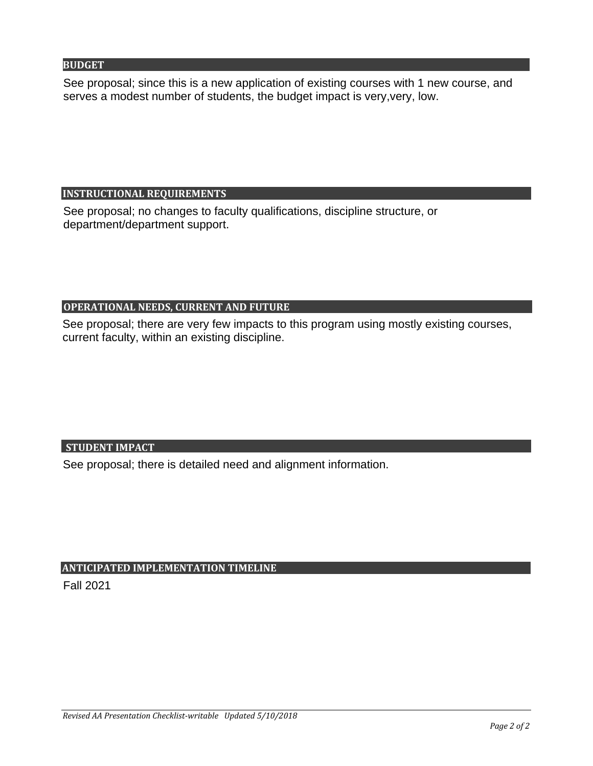#### **BUDGET**

See proposal; since this is a new application of existing courses with 1 new course, and serves a modest number of students, the budget impact is very,very, low.

## **INSTRUCTIONAL REQUIREMENTS**

See proposal; no changes to faculty qualifications, discipline structure, or department/department support.

## **OPERATIONAL NEEDS, CURRENT AND FUTURE**

See proposal; there are very few impacts to this program using mostly existing courses,

## **STUDENT IMPACT**

current faculty, within an existing discipline.<br>STUDENT IMPACT<br>See proposal; there is detailed need and alignment information.

## **ANTICIPATED IMPLEMENTATION TIMELINE**

Fall 2021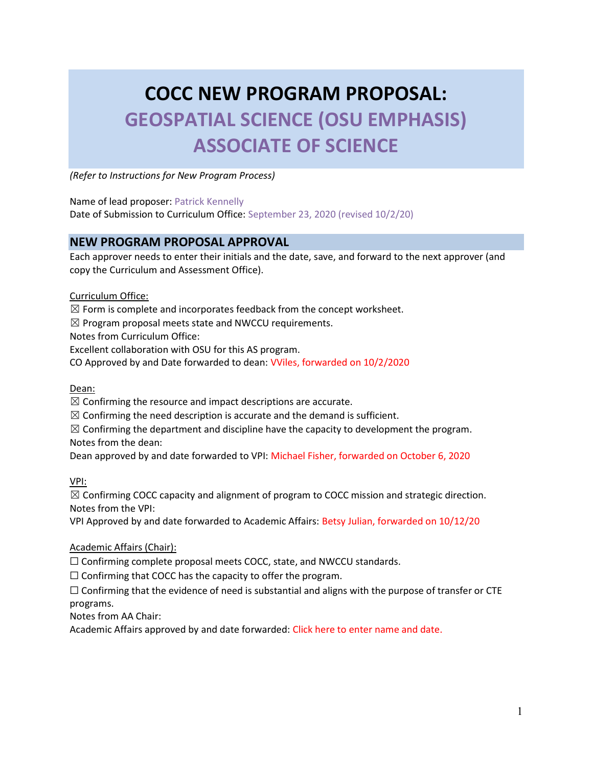# COCC NEW PROGRAM PROPOSAL: GEOSPATIAL SCIENCE (OSU EMPHASIS) ASSOCIATE OF SCIENCE

(Refer to Instructions for New Program Process)

Name of lead proposer: Patrick Kennelly

Date of Submission to Curriculum Office: September 23, 2020 (revised 10/2/20)

## NEW PROGRAM PROPOSAL APPROVAL

Each approver needs to enter their initials and the date, save, and forward to the next approver (and copy the Curriculum and Assessment Office).

#### Curriculum Office:

 $\boxtimes$  Form is complete and incorporates feedback from the concept worksheet.

 $\boxtimes$  Program proposal meets state and NWCCU requirements.

Notes from Curriculum Office:

Excellent collaboration with OSU for this AS program.

CO Approved by and Date forwarded to dean: VViles, forwarded on 10/2/2020

Dean:

 $\boxtimes$  Confirming the resource and impact descriptions are accurate.

 $\boxtimes$  Confirming the need description is accurate and the demand is sufficient.

 $\boxtimes$  Confirming the department and discipline have the capacity to development the program. Notes from the dean:

Dean approved by and date forwarded to VPI: Michael Fisher, forwarded on October 6, 2020

VPI:

 $\boxtimes$  Confirming COCC capacity and alignment of program to COCC mission and strategic direction. Notes from the VPI:

VPI Approved by and date forwarded to Academic Affairs: Betsy Julian, forwarded on 10/12/20

Academic Affairs (Chair):

☐ Confirming complete proposal meets COCC, state, and NWCCU standards.

 $\Box$  Confirming that COCC has the capacity to offer the program.

 $\Box$  Confirming that the evidence of need is substantial and aligns with the purpose of transfer or CTE programs.

Notes from AA Chair:

Academic Affairs approved by and date forwarded: Click here to enter name and date.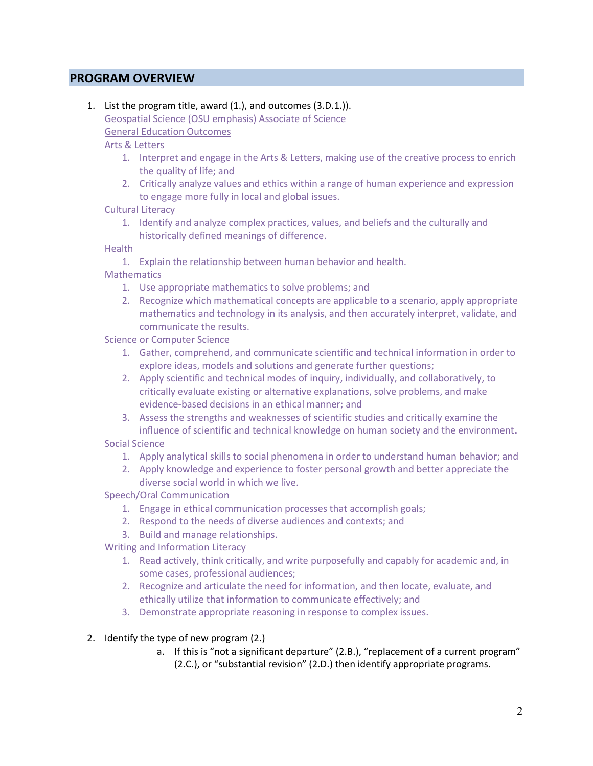## PROGRAM OVERVIEW

1. List the program title, award (1.), and outcomes (3.D.1.)). Geospatial Science (OSU emphasis) Associate of Science General Education Outcomes

Arts & Letters

- 1. Interpret and engage in the Arts & Letters, making use of the creative process to enrich the quality of life; and
- 2. Critically analyze values and ethics within a range of human experience and expression to engage more fully in local and global issues.
- Cultural Literacy
	- 1. Identify and analyze complex practices, values, and beliefs and the culturally and historically defined meanings of difference.

**Health** 

1. Explain the relationship between human behavior and health.

**Mathematics** 

- 1. Use appropriate mathematics to solve problems; and
- 2. Recognize which mathematical concepts are applicable to a scenario, apply appropriate mathematics and technology in its analysis, and then accurately interpret, validate, and communicate the results.

Science or Computer Science

- 1. Gather, comprehend, and communicate scientific and technical information in order to explore ideas, models and solutions and generate further questions;
- 2. Apply scientific and technical modes of inquiry, individually, and collaboratively, to critically evaluate existing or alternative explanations, solve problems, and make evidence-based decisions in an ethical manner; and
- 3. Assess the strengths and weaknesses of scientific studies and critically examine the influence of scientific and technical knowledge on human society and the environment.

Social Science

- 1. Apply analytical skills to social phenomena in order to understand human behavior; and
- 2. Apply knowledge and experience to foster personal growth and better appreciate the diverse social world in which we live.

Speech/Oral Communication

- 1. Engage in ethical communication processes that accomplish goals;
- 2. Respond to the needs of diverse audiences and contexts; and
- 3. Build and manage relationships.

Writing and Information Literacy

- 1. Read actively, think critically, and write purposefully and capably for academic and, in some cases, professional audiences;
- 2. Recognize and articulate the need for information, and then locate, evaluate, and ethically utilize that information to communicate effectively; and
- 3. Demonstrate appropriate reasoning in response to complex issues.

2. Identify the type of new program (2.)

a. If this is "not a significant departure" (2.B.), "replacement of a current program" (2.C.), or "substantial revision" (2.D.) then identify appropriate programs.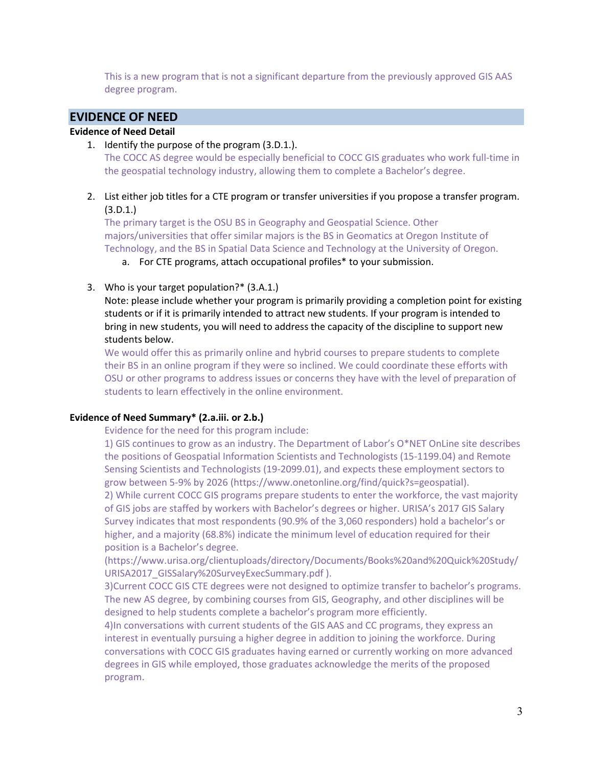This is a new program that is not a significant departure from the previously approved GIS AAS degree program.

## EVIDENCE OF NEED

#### Evidence of Need Detail

1. Identify the purpose of the program (3.D.1.).

The COCC AS degree would be especially beneficial to COCC GIS graduates who work full-time in the geospatial technology industry, allowing them to complete a Bachelor's degree.

2. List either job titles for a CTE program or transfer universities if you propose a transfer program. (3.D.1.)

The primary target is the OSU BS in Geography and Geospatial Science. Other majors/universities that offer similar majors is the BS in Geomatics at Oregon Institute of Technology, and the BS in Spatial Data Science and Technology at the University of Oregon.

- a. For CTE programs, attach occupational profiles\* to your submission.
- 3. Who is your target population?\* (3.A.1.)

Note: please include whether your program is primarily providing a completion point for existing students or if it is primarily intended to attract new students. If your program is intended to bring in new students, you will need to address the capacity of the discipline to support new students below.

We would offer this as primarily online and hybrid courses to prepare students to complete their BS in an online program if they were so inclined. We could coordinate these efforts with OSU or other programs to address issues or concerns they have with the level of preparation of students to learn effectively in the online environment.

#### Evidence of Need Summary\* (2.a.iii. or 2.b.)

Evidence for the need for this program include:

1) GIS continues to grow as an industry. The Department of Labor's O\*NET OnLine site describes the positions of Geospatial Information Scientists and Technologists (15-1199.04) and Remote Sensing Scientists and Technologists (19-2099.01), and expects these employment sectors to grow between 5-9% by 2026 (https://www.onetonline.org/find/quick?s=geospatial).

2) While current COCC GIS programs prepare students to enter the workforce, the vast majority of GIS jobs are staffed by workers with Bachelor's degrees or higher. URISA's 2017 GIS Salary Survey indicates that most respondents (90.9% of the 3,060 responders) hold a bachelor's or higher, and a majority (68.8%) indicate the minimum level of education required for their position is a Bachelor's degree.

(https://www.urisa.org/clientuploads/directory/Documents/Books%20and%20Quick%20Study/ URISA2017\_GISSalary%20SurveyExecSummary.pdf ).

3)Current COCC GIS CTE degrees were not designed to optimize transfer to bachelor's programs. The new AS degree, by combining courses from GIS, Geography, and other disciplines will be designed to help students complete a bachelor's program more efficiently.

4)In conversations with current students of the GIS AAS and CC programs, they express an interest in eventually pursuing a higher degree in addition to joining the workforce. During conversations with COCC GIS graduates having earned or currently working on more advanced degrees in GIS while employed, those graduates acknowledge the merits of the proposed program.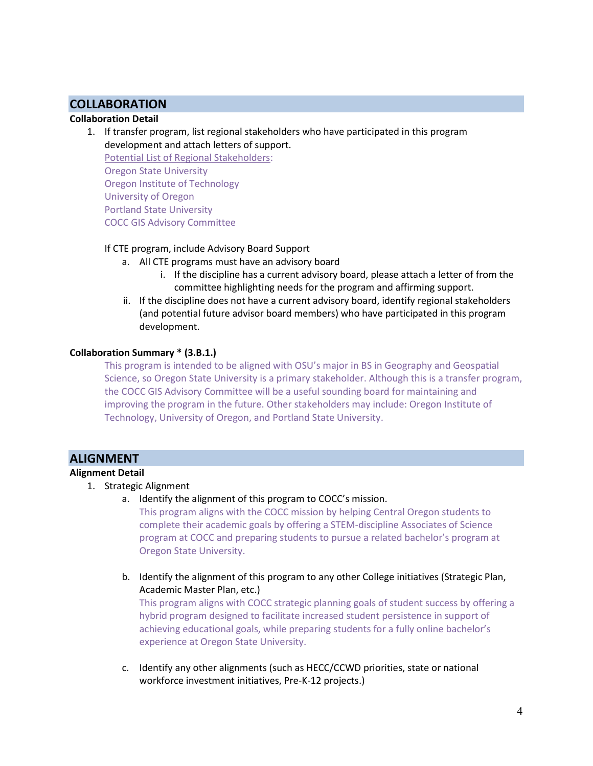## **COLLABORATION**

## Collaboration Detail

1. If transfer program, list regional stakeholders who have participated in this program development and attach letters of support.

Potential List of Regional Stakeholders: Oregon State University Oregon Institute of Technology University of Oregon Portland State University COCC GIS Advisory Committee

#### If CTE program, include Advisory Board Support

- a. All CTE programs must have an advisory board
	- i. If the discipline has a current advisory board, please attach a letter of from the committee highlighting needs for the program and affirming support.
- ii. If the discipline does not have a current advisory board, identify regional stakeholders (and potential future advisor board members) who have participated in this program development.

#### Collaboration Summary \* (3.B.1.)

This program is intended to be aligned with OSU's major in BS in Geography and Geospatial Science, so Oregon State University is a primary stakeholder. Although this is a transfer program, the COCC GIS Advisory Committee will be a useful sounding board for maintaining and improving the program in the future. Other stakeholders may include: Oregon Institute of Technology, University of Oregon, and Portland State University.

## ALIGNMENT

#### Alignment Detail

- 1. Strategic Alignment
	- a. Identify the alignment of this program to COCC's mission.

This program aligns with the COCC mission by helping Central Oregon students to complete their academic goals by offering a STEM-discipline Associates of Science program at COCC and preparing students to pursue a related bachelor's program at Oregon State University.

b. Identify the alignment of this program to any other College initiatives (Strategic Plan, Academic Master Plan, etc.)

This program aligns with COCC strategic planning goals of student success by offering a hybrid program designed to facilitate increased student persistence in support of achieving educational goals, while preparing students for a fully online bachelor's experience at Oregon State University.

c. Identify any other alignments (such as HECC/CCWD priorities, state or national workforce investment initiatives, Pre-K-12 projects.)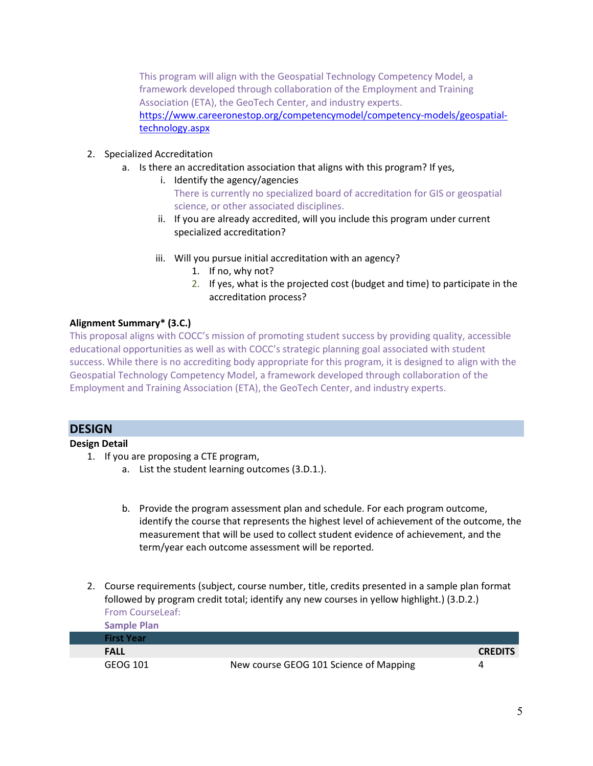This program will align with the Geospatial Technology Competency Model, a framework developed through collaboration of the Employment and Training Association (ETA), the GeoTech Center, and industry experts. https://www.careeronestop.org/competencymodel/competency-models/geospatialtechnology.aspx

- 2. Specialized Accreditation
	- a. Is there an accreditation association that aligns with this program? If yes,
		- i. Identify the agency/agencies There is currently no specialized board of accreditation for GIS or geospatial science, or other associated disciplines.
		- ii. If you are already accredited, will you include this program under current specialized accreditation?
		- iii. Will you pursue initial accreditation with an agency?
			- 1. If no, why not?
			- 2. If yes, what is the projected cost (budget and time) to participate in the accreditation process?

#### Alignment Summary\* (3.C.)

This proposal aligns with COCC's mission of promoting student success by providing quality, accessible educational opportunities as well as with COCC's strategic planning goal associated with student success. While there is no accrediting body appropriate for this program, it is designed to align with the Geospatial Technology Competency Model, a framework developed through collaboration of the Employment and Training Association (ETA), the GeoTech Center, and industry experts.

#### **DESIGN**

#### Design Detail

- 1. If you are proposing a CTE program,
	- a. List the student learning outcomes (3.D.1.).
	- b. Provide the program assessment plan and schedule. For each program outcome, identify the course that represents the highest level of achievement of the outcome, the measurement that will be used to collect student evidence of achievement, and the term/year each outcome assessment will be reported.
- 2. Course requirements (subject, course number, title, credits presented in a sample plan format followed by program credit total; identify any new courses in yellow highlight.) (3.D.2.) From CourseLeaf:

| <b>Sample Plan</b> |                                        |                |
|--------------------|----------------------------------------|----------------|
| <b>First Year</b>  |                                        |                |
| <b>FALL</b>        |                                        | <b>CREDITS</b> |
| GEOG 101           | New course GEOG 101 Science of Mapping |                |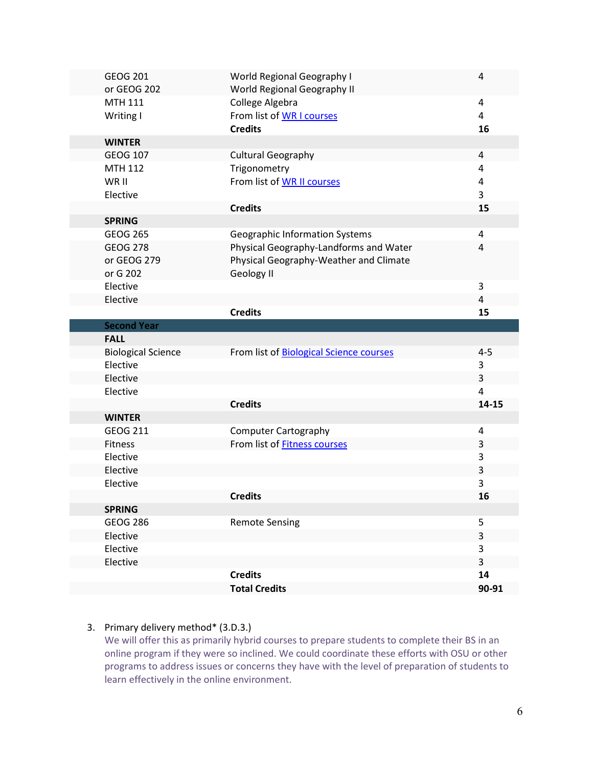| <b>GEOG 201</b><br>or GEOG 202 | World Regional Geography I<br>World Regional Geography II | 4       |
|--------------------------------|-----------------------------------------------------------|---------|
| <b>MTH 111</b>                 | College Algebra                                           | 4       |
| Writing I                      | From list of WR I courses                                 | 4       |
|                                | <b>Credits</b>                                            | 16      |
| <b>WINTER</b>                  |                                                           |         |
| <b>GEOG 107</b>                | <b>Cultural Geography</b>                                 | 4       |
| <b>MTH 112</b>                 | Trigonometry                                              | 4       |
| WR II                          | From list of WR II courses                                | 4       |
| Elective                       |                                                           | 3       |
|                                | <b>Credits</b>                                            | 15      |
| <b>SPRING</b>                  |                                                           |         |
| <b>GEOG 265</b>                | <b>Geographic Information Systems</b>                     | 4       |
| <b>GEOG 278</b>                | Physical Geography-Landforms and Water                    | 4       |
| or GEOG 279                    | Physical Geography-Weather and Climate                    |         |
| or G 202                       | Geology II                                                |         |
| Elective                       |                                                           | 3       |
| Elective                       |                                                           | 4       |
|                                | <b>Credits</b>                                            | 15      |
| <b>Second Year</b>             |                                                           |         |
| <b>FALL</b>                    |                                                           |         |
| <b>Biological Science</b>      | From list of Biological Science courses                   | $4 - 5$ |
| Elective                       |                                                           | 3       |
| Elective                       |                                                           | 3       |
| Elective                       |                                                           | 4       |
|                                | <b>Credits</b>                                            | 14-15   |
| <b>WINTER</b>                  |                                                           |         |
| <b>GEOG 211</b>                | <b>Computer Cartography</b>                               | 4       |
| Fitness                        | From list of <b>Fitness courses</b>                       | 3       |
| Elective                       |                                                           | 3       |
| Elective                       |                                                           | 3       |
| Elective                       |                                                           | 3       |
|                                | <b>Credits</b>                                            | 16      |
| <b>SPRING</b>                  |                                                           |         |
|                                |                                                           |         |
| <b>GEOG 286</b>                | <b>Remote Sensing</b>                                     | 5       |
| Elective                       |                                                           | 3       |
| Elective                       |                                                           | 3       |
| Elective                       |                                                           | 3       |
|                                | <b>Credits</b>                                            | 14      |
|                                |                                                           |         |

## 3. Primary delivery method\* (3.D.3.)

We will offer this as primarily hybrid courses to prepare students to complete their BS in an online program if they were so inclined. We could coordinate these efforts with OSU or other programs to address issues or concerns they have with the level of preparation of students to learn effectively in the online environment.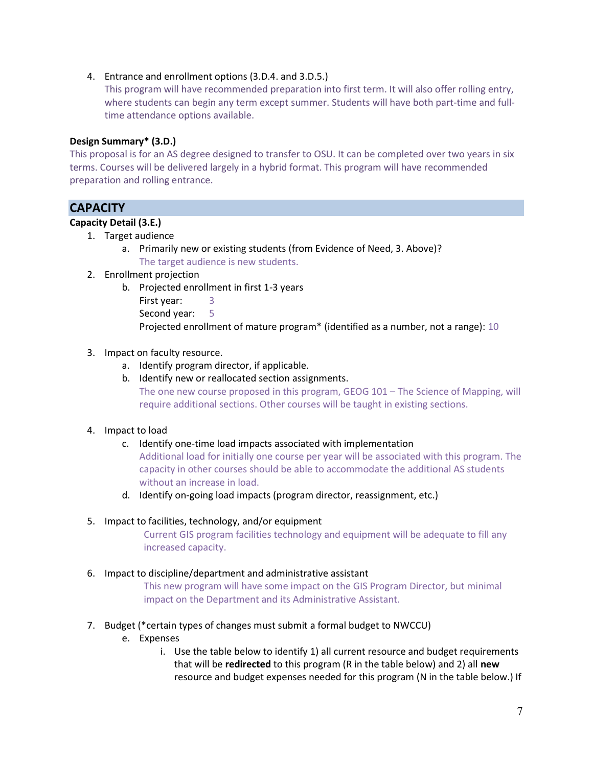#### 4. Entrance and enrollment options (3.D.4. and 3.D.5.)

This program will have recommended preparation into first term. It will also offer rolling entry, where students can begin any term except summer. Students will have both part-time and fulltime attendance options available.

## Design Summary\* (3.D.)

This proposal is for an AS degree designed to transfer to OSU. It can be completed over two years in six terms. Courses will be delivered largely in a hybrid format. This program will have recommended preparation and rolling entrance.

## **CAPACITY**

## Capacity Detail (3.E.)

- 1. Target audience
	- a. Primarily new or existing students (from Evidence of Need, 3. Above)? The target audience is new students.
- 2. Enrollment projection
	- b. Projected enrollment in first 1-3 years
		- First year: 3
		- Second year: 5

Projected enrollment of mature program\* (identified as a number, not a range): 10

#### 3. Impact on faculty resource.

- a. Identify program director, if applicable.
- b. Identify new or reallocated section assignments. The one new course proposed in this program, GEOG 101 – The Science of Mapping, will require additional sections. Other courses will be taught in existing sections.

#### 4. Impact to load

- c. Identify one-time load impacts associated with implementation Additional load for initially one course per year will be associated with this program. The capacity in other courses should be able to accommodate the additional AS students without an increase in load.
- d. Identify on-going load impacts (program director, reassignment, etc.)

#### 5. Impact to facilities, technology, and/or equipment

Current GIS program facilities technology and equipment will be adequate to fill any increased capacity.

#### 6. Impact to discipline/department and administrative assistant

This new program will have some impact on the GIS Program Director, but minimal impact on the Department and its Administrative Assistant.

- 7. Budget (\*certain types of changes must submit a formal budget to NWCCU)
	- e. Expenses
		- i. Use the table below to identify 1) all current resource and budget requirements that will be redirected to this program (R in the table below) and 2) all new resource and budget expenses needed for this program (N in the table below.) If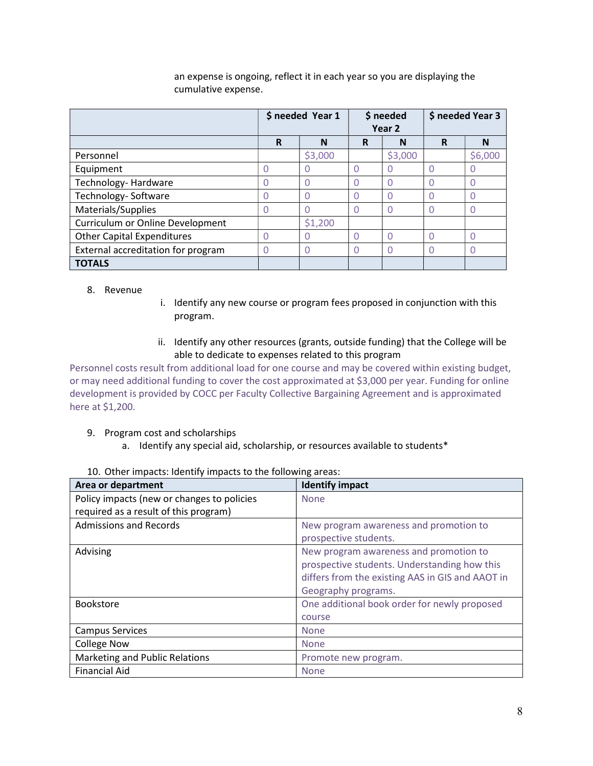|                                    | \$ needed Year 1 |                  | \$ needed<br>Year <sub>2</sub> |         | \$ needed Year 3 |         |
|------------------------------------|------------------|------------------|--------------------------------|---------|------------------|---------|
|                                    | R                | N                | R                              | N       | R                | N       |
| Personnel                          |                  | \$3,000          |                                | \$3,000 |                  | \$6,000 |
| Equipment                          | $\Omega$         | $\left( \right)$ | 0                              | O       | 0                |         |
| Technology-Hardware                | O                | $\Omega$         | 0                              | Ω       | U                |         |
| Technology- Software               | 0                |                  | 0                              | Ω       | 0                |         |
| Materials/Supplies                 | 0                |                  | 0                              | O       | 0                |         |
| Curriculum or Online Development   |                  | \$1,200          |                                |         |                  |         |
| <b>Other Capital Expenditures</b>  |                  |                  | 0                              | Ω       | U                |         |
| External accreditation for program | O                | O                | 0                              | Ω       | U                |         |
| <b>TOTALS</b>                      |                  |                  |                                |         |                  |         |

an expense is ongoing, reflect it in each year so you are displaying the cumulative expense.

#### 8. Revenue

- i. Identify any new course or program fees proposed in conjunction with this program.
- ii. Identify any other resources (grants, outside funding) that the College will be able to dedicate to expenses related to this program

Personnel costs result from additional load for one course and may be covered within existing budget, or may need additional funding to cover the cost approximated at \$3,000 per year. Funding for online development is provided by COCC per Faculty Collective Bargaining Agreement and is approximated here at \$1,200.

- 9. Program cost and scholarships
	- a. Identify any special aid, scholarship, or resources available to students\*

| Area or department                         | <b>Identify impact</b>                           |
|--------------------------------------------|--------------------------------------------------|
| Policy impacts (new or changes to policies | <b>None</b>                                      |
| required as a result of this program)      |                                                  |
| <b>Admissions and Records</b>              | New program awareness and promotion to           |
|                                            | prospective students.                            |
| Advising                                   | New program awareness and promotion to           |
|                                            | prospective students. Understanding how this     |
|                                            | differs from the existing AAS in GIS and AAOT in |
|                                            | Geography programs.                              |
| <b>Bookstore</b>                           | One additional book order for newly proposed     |
|                                            | course                                           |
| <b>Campus Services</b>                     | <b>None</b>                                      |
| <b>College Now</b>                         | <b>None</b>                                      |
| Marketing and Public Relations             | Promote new program.                             |
| <b>Financial Aid</b>                       | <b>None</b>                                      |

#### 10. Other impacts: Identify impacts to the following areas: